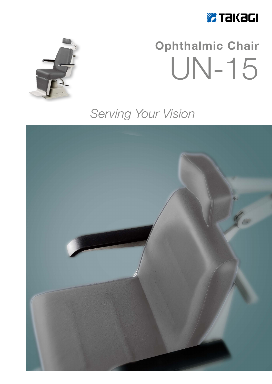



# **Ophthalmic Chair** UN-15

### Serving Your Vision